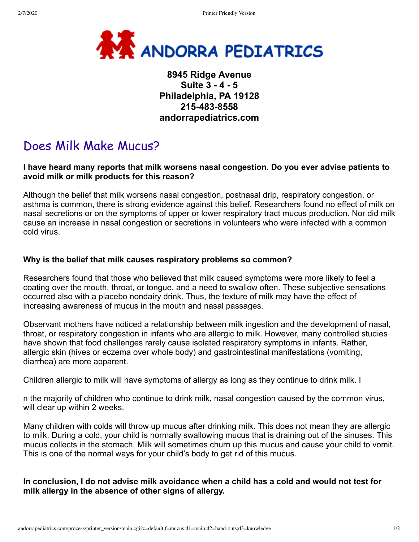

## **8945 Ridge Avenue Suite 3 - 4 - 5 Philadelphia, PA 19128 215-483-8558 andorrapediatrics.com**

## Does Milk Make Mucus?

## **I have heard many reports that milk worsens nasal congestion. Do you ever advise patients to avoid milk or milk products for this reason?**

Although the belief that milk worsens nasal congestion, postnasal drip, respiratory congestion, or asthma is common, there is strong evidence against this belief. Researchers found no effect of milk on nasal secretions or on the symptoms of upper or lower respiratory tract mucus production. Nor did milk cause an increase in nasal congestion or secretions in volunteers who were infected with a common cold virus.

## **Why is the belief that milk causes respiratory problems so common?**

Researchers found that those who believed that milk caused symptoms were more likely to feel a coating over the mouth, throat, or tongue, and a need to swallow often. These subjective sensations occurred also with a placebo nondairy drink. Thus, the texture of milk may have the effect of increasing awareness of mucus in the mouth and nasal passages.

Observant mothers have noticed a relationship between milk ingestion and the development of nasal, throat, or respiratory congestion in infants who are allergic to milk. However, many controlled studies have shown that food challenges rarely cause isolated respiratory symptoms in infants. Rather, allergic skin (hives or eczema over whole body) and gastrointestinal manifestations (vomiting, diarrhea) are more apparent.

Children allergic to milk will have symptoms of allergy as long as they continue to drink milk. I

n the majority of children who continue to drink milk, nasal congestion caused by the common virus, will clear up within 2 weeks.

Many children with colds will throw up mucus after drinking milk. This does not mean they are allergic to milk. During a cold, your child is normally swallowing mucus that is draining out of the sinuses. This mucus collects in the stomach. Milk will sometimes churn up this mucus and cause your child to vomit. This is one of the normal ways for your child's body to get rid of this mucus.

**In conclusion, I do not advise milk avoidance when a child has a cold and would not test for milk allergy in the absence of other signs of allergy.**